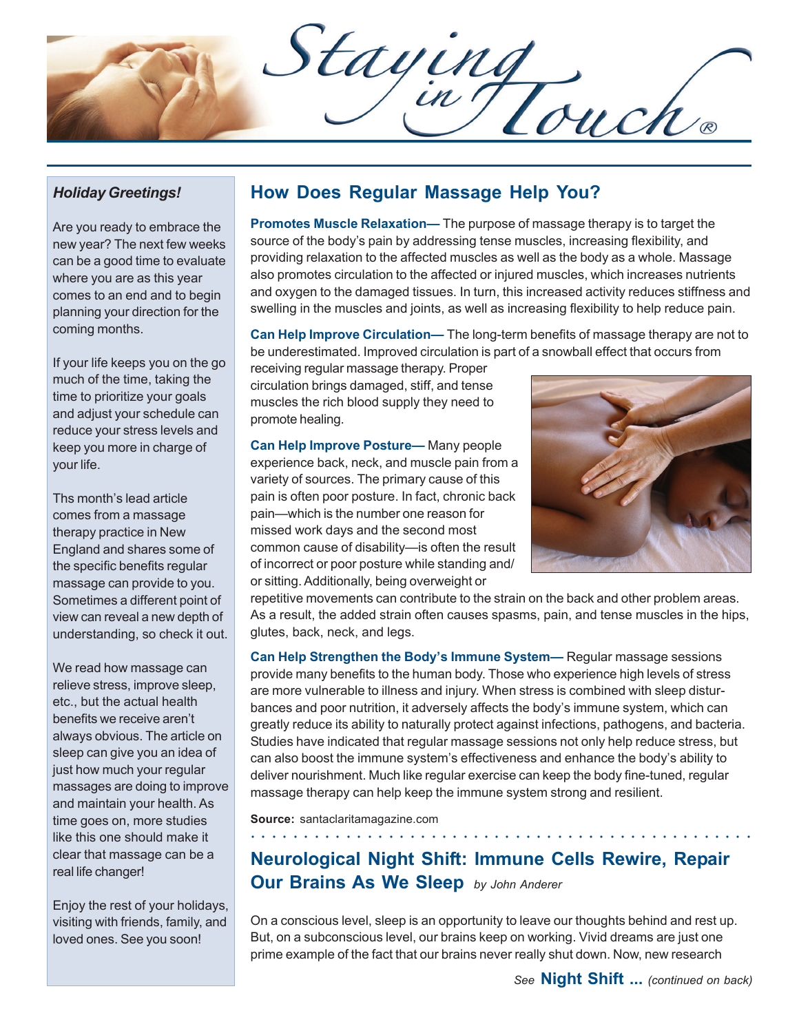Staying<br>Div Touch®

## *Holiday Greetings!*

Are you ready to embrace the new year? The next few weeks can be a good time to evaluate where you are as this year comes to an end and to begin planning your direction for the coming months.

If your life keeps you on the go much of the time, taking the time to prioritize your goals and adjust your schedule can reduce your stress levels and keep you more in charge of your life.

Ths month's lead article comes from a massage therapy practice in New England and shares some of the specific benefits regular massage can provide to you. Sometimes a different point of view can reveal a new depth of understanding, so check it out.

We read how massage can relieve stress, improve sleep, etc., but the actual health benefits we receive aren't always obvious. The article on sleep can give you an idea of just how much your regular massages are doing to improve and maintain your health. As time goes on, more studies like this one should make it clear that massage can be a real life changer!

Enjoy the rest of your holidays, visiting with friends, family, and loved ones. See you soon!

## **How Does Regular Massage Help You?**

**Promotes Muscle Relaxation—** The purpose of massage therapy is to target the source of the body's pain by addressing tense muscles, increasing flexibility, and providing relaxation to the affected muscles as well as the body as a whole. Massage also promotes circulation to the affected or injured muscles, which increases nutrients and oxygen to the damaged tissues. In turn, this increased activity reduces stiffness and swelling in the muscles and joints, as well as increasing flexibility to help reduce pain.

**Can Help Improve Circulation—** The long-term benefits of massage therapy are not to be underestimated. Improved circulation is part of a snowball effect that occurs from

receiving regular massage therapy. Proper circulation brings damaged, stiff, and tense muscles the rich blood supply they need to promote healing.

**Can Help Improve Posture—** Many people experience back, neck, and muscle pain from a variety of sources. The primary cause of this pain is often poor posture. In fact, chronic back pain—which is the number one reason for missed work days and the second most common cause of disability—is often the result of incorrect or poor posture while standing and/ or sitting. Additionally, being overweight or



repetitive movements can contribute to the strain on the back and other problem areas. As a result, the added strain often causes spasms, pain, and tense muscles in the hips, glutes, back, neck, and legs.

**Can Help Strengthen the Body's Immune System—** Regular massage sessions provide many benefits to the human body. Those who experience high levels of stress are more vulnerable to illness and injury. When stress is combined with sleep disturbances and poor nutrition, it adversely affects the body's immune system, which can greatly reduce its ability to naturally protect against infections, pathogens, and bacteria. Studies have indicated that regular massage sessions not only help reduce stress, but can also boost the immune system's effectiveness and enhance the body's ability to deliver nourishment. Much like regular exercise can keep the body fine-tuned, regular massage therapy can help keep the immune system strong and resilient.

**Source:** santaclaritamagazine.com

## **Neurological Night Shift: Immune Cells Rewire, Repair Our Brains As We Sleep** *by John Anderer*

○○○○○○○○○○○○○○○○○○ ○○○○○○○○○○○○○○○○○○○○○○○○○○○○○○

On a conscious level, sleep is an opportunity to leave our thoughts behind and rest up. But, on a subconscious level, our brains keep on working. Vivid dreams are just one prime example of the fact that our brains never really shut down. Now, new research